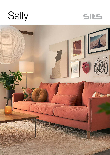



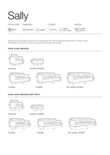

Drawing show combinations with armrest II. Combinantons with other armrest are properly longer or shorter in width. All elements in loose cover with velcro are with french stitching on the armrest.

#### loose cover elements



### loose cover elements with velcro

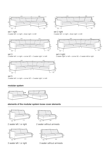

set 1 right 2 seater left / or right + divan right / or left



#### set 3





set 5 3 seater left / or right + corner 90˚ + 3 seater right / or left

# modular system



## elements of the modular system loose cover elements



2 seater left / or right



3 seater left / or right



2 seater without armrests



3 seater without armrests



set 2 right 3 seater left / or right + divan right / or left



set 4 right 2 seater right/ or left + corner 90 + 3 seater left/or right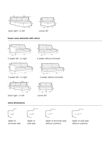

divan right / or left

corner 90˚

 $94$ 

 $\overline{9}$ 

# loose cover elements with velcro



2 seater left / or right



3 seater left / or right



divan right / or left

# extra dimensions



depth of armchair seat

64  $\overline{50}$   $\overline{64}$   $\overline{64}$   $\overline{64}$   $\overline{70}$ 

depth of sofa seat



 $102 - 102$ 

corner 90°

depth of armchair seat without cushions

85

depth of sofa seat without cushions





47

47

3 seater without armrests

47